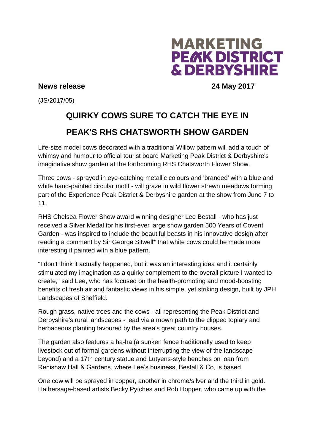

## **News release 24 May 2017**

(JS/2017/05)

## **QUIRKY COWS SURE TO CATCH THE EYE IN PEAK'S RHS CHATSWORTH SHOW GARDEN**

Life-size model cows decorated with a traditional Willow pattern will add a touch of whimsy and humour to official tourist board Marketing Peak District & Derbyshire's imaginative show garden at the forthcoming RHS Chatsworth Flower Show.

Three cows - sprayed in eye-catching metallic colours and 'branded' with a blue and white hand-painted circular motif - will graze in wild flower strewn meadows forming part of the Experience Peak District & Derbyshire garden at the show from June 7 to 11.

RHS Chelsea Flower Show award winning designer Lee Bestall - who has just received a Silver Medal for his first-ever large show garden 500 Years of Covent Garden - was inspired to include the beautiful beasts in his innovative design after reading a comment by Sir George Sitwell\* that white cows could be made more interesting if painted with a blue pattern.

"I don't think it actually happened, but it was an interesting idea and it certainly stimulated my imagination as a quirky complement to the overall picture I wanted to create," said Lee, who has focused on the health-promoting and mood-boosting benefits of fresh air and fantastic views in his simple, yet striking design, built by JPH Landscapes of Sheffield.

Rough grass, native trees and the cows - all representing the Peak District and Derbyshire's rural landscapes - lead via a mown path to the clipped topiary and herbaceous planting favoured by the area's great country houses.

The garden also features a ha-ha (a sunken fence traditionally used to keep livestock out of formal gardens without interrupting the view of the landscape beyond) and a 17th century statue and Lutyens-style benches on loan from Renishaw Hall & Gardens, where Lee's business, Bestall & Co, is based.

One cow will be sprayed in copper, another in chrome/silver and the third in gold. Hathersage-based artists Becky Pytches and Rob Hopper, who came up with the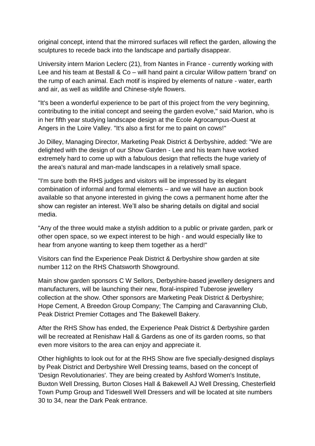original concept, intend that the mirrored surfaces will reflect the garden, allowing the sculptures to recede back into the landscape and partially disappear.

University intern Marion Leclerc (21), from Nantes in France - currently working with Lee and his team at Bestall & Co – will hand paint a circular Willow pattern 'brand' on the rump of each animal. Each motif is inspired by elements of nature - water, earth and air, as well as wildlife and Chinese-style flowers.

"It's been a wonderful experience to be part of this project from the very beginning, contributing to the initial concept and seeing the garden evolve," said Marion, who is in her fifth year studying landscape design at the Ecole Agrocampus-Ouest at Angers in the Loire Valley. "It's also a first for me to paint on cows!"

Jo Dilley, Managing Director, Marketing Peak District & Derbyshire, added: "We are delighted with the design of our Show Garden - Lee and his team have worked extremely hard to come up with a fabulous design that reflects the huge variety of the area's natural and man-made landscapes in a relatively small space.

"I'm sure both the RHS judges and visitors will be impressed by its elegant combination of informal and formal elements – and we will have an auction book available so that anyone interested in giving the cows a permanent home after the show can register an interest. We'll also be sharing details on digital and social media.

"Any of the three would make a stylish addition to a public or private garden, park or other open space, so we expect interest to be high - and would especially like to hear from anyone wanting to keep them together as a herd!"

Visitors can find the Experience Peak District & Derbyshire show garden at site number 112 on the RHS Chatsworth Showground.

Main show garden sponsors C W Sellors, Derbyshire-based jewellery designers and manufacturers, will be launching their new, floral-inspired Tuberose jewellery collection at the show. Other sponsors are Marketing Peak District & Derbyshire; Hope Cement, A Breedon Group Company; The Camping and Caravanning Club, Peak District Premier Cottages and The Bakewell Bakery.

After the RHS Show has ended, the Experience Peak District & Derbyshire garden will be recreated at Renishaw Hall & Gardens as one of its garden rooms, so that even more visitors to the area can enjoy and appreciate it.

Other highlights to look out for at the RHS Show are five specially-designed displays by Peak District and Derbyshire Well Dressing teams, based on the concept of 'Design Revolutionaries'. They are being created by Ashford Women's Institute, Buxton Well Dressing, Burton Closes Hall & Bakewell AJ Well Dressing, Chesterfield Town Pump Group and Tideswell Well Dressers and will be located at site numbers 30 to 34, near the Dark Peak entrance.